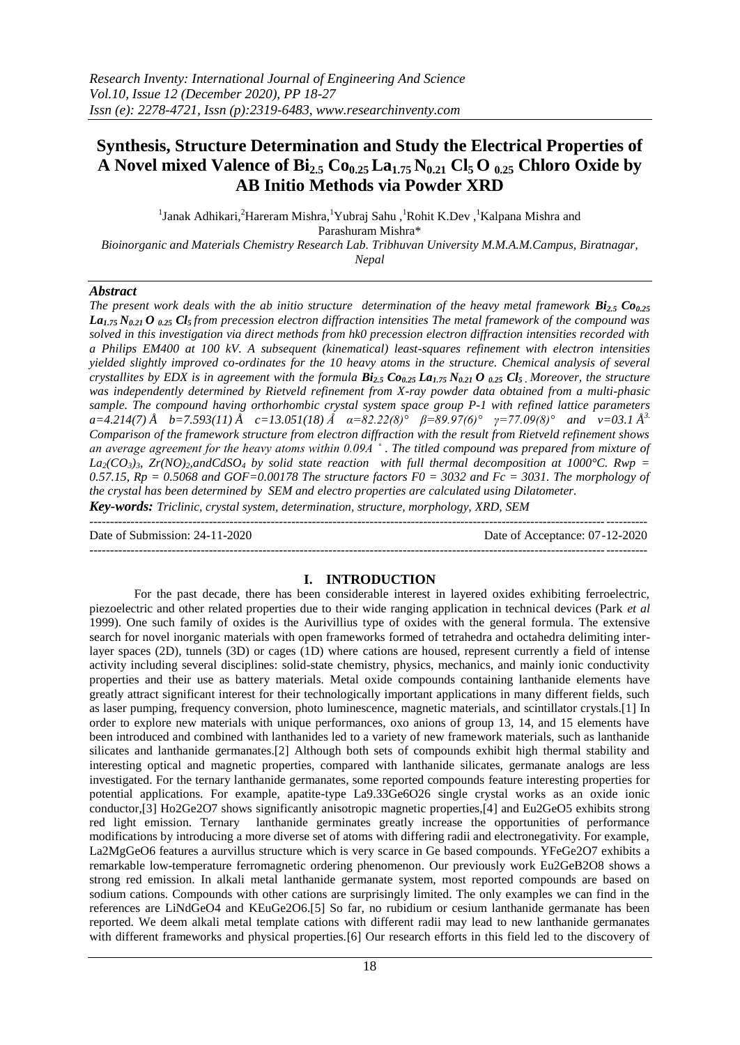# **Synthesis, Structure Determination and Study the Electrical Properties of A Novel mixed Valence of Bi2.5 Co0.25 La1.75 N0.21 Cl5 O 0.25 Chloro Oxide by AB Initio Methods via Powder XRD**

<sup>1</sup>Janak Adhikari,<sup>2</sup>Hareram Mishra,<sup>1</sup>Yubraj Sahu,<sup>1</sup>Rohit K.Dev,<sup>1</sup>Kalpana Mishra and Parashuram Mishra\* *Bioinorganic and Materials Chemistry Research Lab. Tribhuvan University M.M.A.M.Campus, Biratnagar,*

*Nepal*

## *Abstract*

*The present work deals with the ab initio structure determination of the heavy metal framework*  $Bi_{2.5}$  $Co_{0.25}$ *La1.75 N0.21 O 0.25 Cl5 from precession electron diffraction intensities The metal framework of the compound was solved in this investigation via direct methods from hk0 precession electron diffraction intensities recorded with a Philips EM400 at 100 kV. A subsequent (kinematical) least-squares refinement with electron intensities yielded slightly improved co-ordinates for the 10 heavy atoms in the structure. Chemical analysis of several crystallites by EDX is in agreement with the formula*  $Bi_{2.5}$  $Co_{0.25}$  $La_{1.75}$  $N_{0.21}$  $O_{0.25}$  $Cl_5$ *. Moreover, the structure was independently determined by Rietveld refinement from X-ray powder data obtained from a multi-phasic sample. The compound having orthorhombic crystal system space group P-1 with refined lattice parameters a=4.214(7) Å b=7.593(11) Å c=13.051(18) Å α=82.22(8)° β=89.97(6)° γ=77.09(8)° and v=03.1 Å 3. Comparison of the framework structure from electron diffraction with the result from Rietveld refinement shows an average agreement for the heavy atoms within 0.09A ˚ . The titled compound was prepared from mixture of*   $La_2(CO_3)$ <sup>2</sup>,  $Zr(NO)$ <sup>2</sup>,andCdSO<sub>4</sub> by solid state reaction with full thermal decomposition at 1000°C. Rwp = 0.57.15,  $Rp = 0.5068$  and  $GOF=0.00178$  The structure factors  $F0 = 3032$  and  $Fc = 3031$ . The morphology of *the crystal has been determined by SEM and electro properties are calculated using Dilatometer.*

*Key-words: Triclinic, crystal system, determination, structure, morphology, XRD, SEM* ---------------------------------------------------------------------------------------------------------------------------------------

Date of Submission: 24-11-2020 Date of Acceptance: 07-12-2020 ---------------------------------------------------------------------------------------------------------------------------------------

## **I. INTRODUCTION**

For the past decade, there has been considerable interest in layered oxides exhibiting ferroelectric, piezoelectric and other related properties due to their wide ranging application in technical devices (Park *et al*  1999). One such family of oxides is the Aurivillius type of oxides with the general formula. The extensive search for novel inorganic materials with open frameworks formed of tetrahedra and octahedra delimiting interlayer spaces (2D), tunnels (3D) or cages (1D) where cations are housed, represent currently a field of intense activity including several disciplines: solid-state chemistry, physics, mechanics, and mainly ionic conductivity properties and their use as battery materials. Metal oxide compounds containing lanthanide elements have greatly attract significant interest for their technologically important applications in many different fields, such as laser pumping, frequency conversion, photo luminescence, magnetic materials, and scintillator crystals.[1] In order to explore new materials with unique performances, oxo anions of group 13, 14, and 15 elements have been introduced and combined with lanthanides led to a variety of new framework materials, such as lanthanide silicates and lanthanide germanates.[2] Although both sets of compounds exhibit high thermal stability and interesting optical and magnetic properties, compared with lanthanide silicates, germanate analogs are less investigated. For the ternary lanthanide germanates, some reported compounds feature interesting properties for potential applications. For example, apatite-type La9.33Ge6O26 single crystal works as an oxide ionic conductor,[3] Ho2Ge2O7 shows significantly anisotropic magnetic properties,[4] and Eu2GeO5 exhibits strong red light emission. Ternary lanthanide germinates greatly increase the opportunities of performance modifications by introducing a more diverse set of atoms with differing radii and electronegativity. For example, La2MgGeO6 features a aurvillus structure which is very scarce in Ge based compounds. YFeGe2O7 exhibits a remarkable low-temperature ferromagnetic ordering phenomenon. Our previously work Eu2GeB2O8 shows a strong red emission. In alkali metal lanthanide germanate system, most reported compounds are based on sodium cations. Compounds with other cations are surprisingly limited. The only examples we can find in the references are LiNdGeO4 and KEuGe2O6.[5] So far, no rubidium or cesium lanthanide germanate has been reported. We deem alkali metal template cations with different radii may lead to new lanthanide germanates with different frameworks and physical properties. [6] Our research efforts in this field led to the discovery of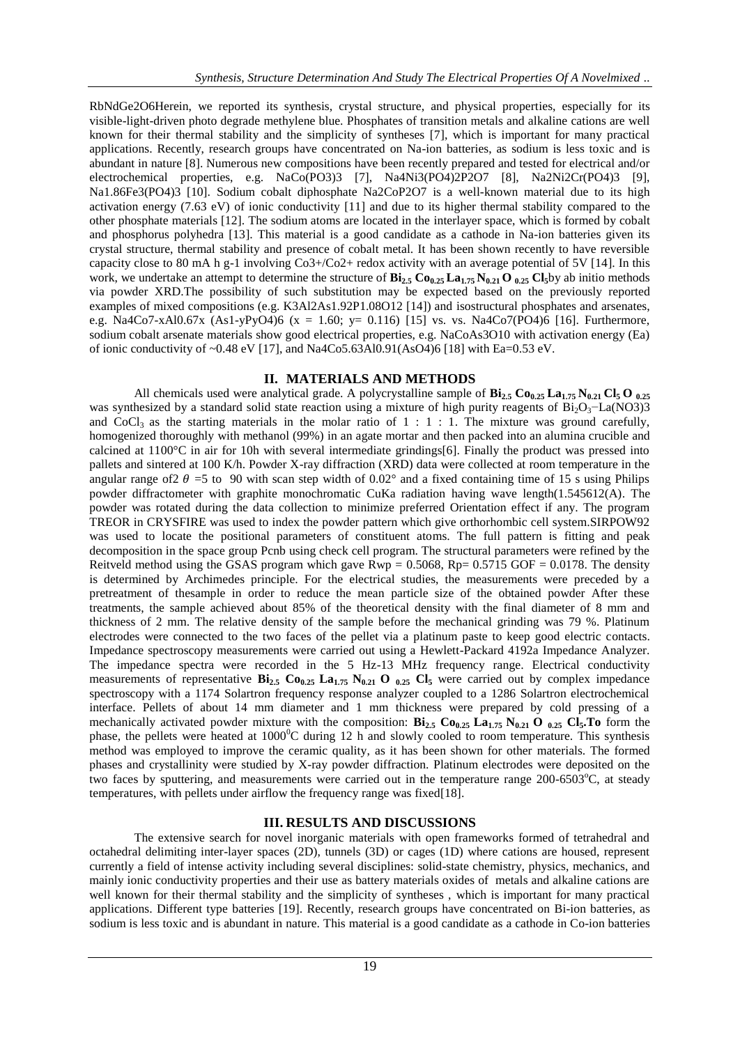RbNdGe2O6Herein, we reported its synthesis, crystal structure, and physical properties, especially for its visible-light-driven photo degrade methylene blue. Phosphates of transition metals and alkaline cations are well known for their thermal stability and the simplicity of syntheses [7], which is important for many practical applications. Recently, research groups have concentrated on Na-ion batteries, as sodium is less toxic and is abundant in nature [8]. Numerous new compositions have been recently prepared and tested for electrical and/or electrochemical properties, e.g. NaCo(PO3)3 [7], Na4Ni3(PO4)2P2O7 [8], Na2Ni2Cr(PO4)3 [9], Na1.86Fe3(PO4)3 [10]. Sodium cobalt diphosphate Na2CoP2O7 is a well-known material due to its high activation energy (7.63 eV) of ionic conductivity [11] and due to its higher thermal stability compared to the other phosphate materials [12]. The sodium atoms are located in the interlayer space, which is formed by cobalt and phosphorus polyhedra [13]. This material is a good candidate as a cathode in Na-ion batteries given its crystal structure, thermal stability and presence of cobalt metal. It has been shown recently to have reversible capacity close to 80 mA h g-1 involving Co3+/Co2+ redox activity with an average potential of 5V [14]. In this work, we undertake an attempt to determine the structure of  $\mathbf{Bi}_{2.5} \mathbf{Co}_{0.25} \mathbf{La}_{1.75} \mathbf{N}_{0.21} \mathbf{O}_{0.25} \mathbf{Cl}_5$  by ab initio methods via powder XRD.The possibility of such substitution may be expected based on the previously reported examples of mixed compositions (e.g. K3Al2As1.92P1.08O12 [14]) and isostructural phosphates and arsenates, e.g. Na4Co7-xAl0.67x (As1-yPyO4)6 (x = 1.60; y= 0.116) [15] vs. vs. Na4Co7(PO4)6 [16]. Furthermore, sodium cobalt arsenate materials show good electrical properties, e.g. NaCoAs3O10 with activation energy (Ea) of ionic conductivity of ~0.48 eV [17], and Na4Co5.63Al0.91(AsO4)6 [18] with Ea=0.53 eV.

#### **II. MATERIALS AND METHODS**

All chemicals used were analytical grade. A polycrystalline sample of **Bi2.5 Co0.25 La1.75 N0.21 Cl5 O 0.25** was synthesized by a standard solid state reaction using a mixture of high purity reagents of  $Bi_2O_3$ -La(NO3)3 and CoCl<sub>3</sub> as the starting materials in the molar ratio of  $1 : 1 : 1$ . The mixture was ground carefully, homogenized thoroughly with methanol (99%) in an agate mortar and then packed into an alumina crucible and calcined at 1100°C in air for 10h with several intermediate grindings[6]. Finally the product was pressed into pallets and sintered at 100 K/h. Powder X-ray diffraction (XRD) data were collected at room temperature in the angular range of  $2 \theta = 5$  to 90 with scan step width of 0.02° and a fixed containing time of 15 s using Philips powder diffractometer with graphite monochromatic CuKa radiation having wave length(1.545612(A). The powder was rotated during the data collection to minimize preferred Orientation effect if any. The program TREOR in CRYSFIRE was used to index the powder pattern which give orthorhombic cell system.SIRPOW92 was used to locate the positional parameters of constituent atoms. The full pattern is fitting and peak decomposition in the space group Pcnb using check cell program. The structural parameters were refined by the Reitveld method using the GSAS program which gave  $Rwp = 0.5068$ ,  $Rp = 0.5715$  GOF = 0.0178. The density is determined by Archimedes principle. For the electrical studies, the measurements were preceded by a pretreatment of thesample in order to reduce the mean particle size of the obtained powder After these treatments, the sample achieved about 85% of the theoretical density with the final diameter of 8 mm and thickness of 2 mm. The relative density of the sample before the mechanical grinding was 79 %. Platinum electrodes were connected to the two faces of the pellet via a platinum paste to keep good electric contacts. Impedance spectroscopy measurements were carried out using a Hewlett-Packard 4192a Impedance Analyzer. The impedance spectra were recorded in the 5 Hz-13 MHz frequency range. Electrical conductivity measurements of representative  $\mathbf{Bi}_{2.5}$   $\mathbf{Co}_{0.25}$   $\mathbf{La}_{1.75}$   $\mathbf{N}_{0.21}$  **O**  $_{0.25}$   $\mathbf{Cl}_{5}$  were carried out by complex impedance spectroscopy with a 1174 Solartron frequency response analyzer coupled to a 1286 Solartron electrochemical interface. Pellets of about 14 mm diameter and 1 mm thickness were prepared by cold pressing of a mechanically activated powder mixture with the composition: **Bi2.5 Co0.25 La1.75 N0.21 O 0.25 Cl5.To** form the phase, the pellets were heated at  $1000^{\circ}$ C during 12 h and slowly cooled to room temperature. This synthesis method was employed to improve the ceramic quality, as it has been shown for other materials. The formed phases and crystallinity were studied by X-ray powder diffraction. Platinum electrodes were deposited on the two faces by sputtering, and measurements were carried out in the temperature range  $200-6503^{\circ}$ C, at steady temperatures, with pellets under airflow the frequency range was fixed[18].

#### **III. RESULTS AND DISCUSSIONS**

The extensive search for novel inorganic materials with open frameworks formed of tetrahedral and octahedral delimiting inter-layer spaces (2D), tunnels (3D) or cages (1D) where cations are housed, represent currently a field of intense activity including several disciplines: solid-state chemistry, physics, mechanics, and mainly ionic conductivity properties and their use as battery materials oxides of metals and alkaline cations are well known for their thermal stability and the simplicity of syntheses , which is important for many practical applications. Different type batteries [19]. Recently, research groups have concentrated on Bi-ion batteries, as sodium is less toxic and is abundant in nature. This material is a good candidate as a cathode in Co-ion batteries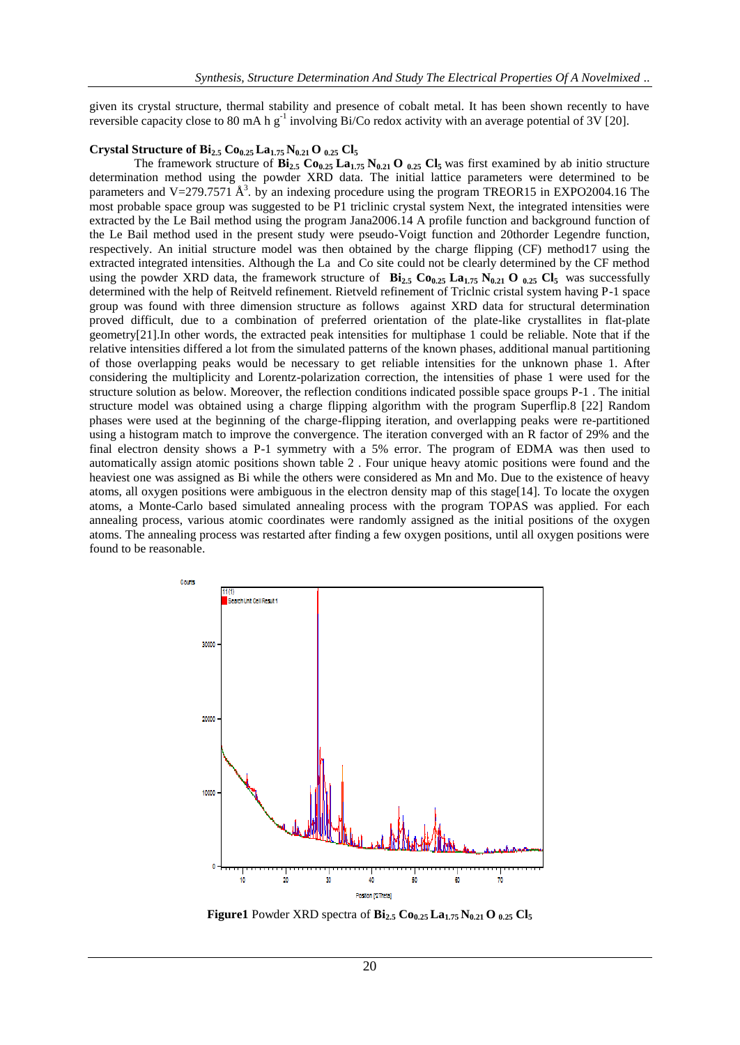given its crystal structure, thermal stability and presence of cobalt metal. It has been shown recently to have reversible capacity close to 80 mA h  $g^{-1}$  involving Bi/Co redox activity with an average potential of 3V [20].

#### **Crystal Structure of**  $\mathbf{Bi}_{2.5}$  $\mathbf{Co}_{0.25}$  $\mathbf{La}_{1.75}$  $\mathbf{N}_{0.21}$  $\mathbf{O}_{0.25}$  $\mathbf{Cl}_{5}$

The framework structure of  $\mathbf{Bi}_{2.5} \mathbf{Co}_{0.25} \mathbf{La}_{1.75} \mathbf{N}_{0.21} \mathbf{O}_{0.25} \mathbf{C} \mathbf{I}_5$  was first examined by ab initio structure determination method using the powder XRD data. The initial lattice parameters were determined to be parameters and V=279.7571  $\AA^3$ . by an indexing procedure using the program TREOR15 in EXPO2004.16 The most probable space group was suggested to be P1 triclinic crystal system Next, the integrated intensities were extracted by the Le Bail method using the program Jana2006.14 A profile function and background function of the Le Bail method used in the present study were pseudo-Voigt function and 20thorder Legendre function, respectively. An initial structure model was then obtained by the charge flipping (CF) method17 using the extracted integrated intensities. Although the La and Co site could not be clearly determined by the CF method using the powder XRD data, the framework structure of  $\mathbf{Bi}_{2.5}$   $\mathbf{Co}_{0.25}$   $\mathbf{La}_{1.75}$   $\mathbf{N}_{0.21}$   $\mathbf{O}_{0.25}$   $\mathbf{Cl}_{5}$  was successfully determined with the help of Reitveld refinement. Rietveld refinement of Triclnic cristal system having P-1 space group was found with three dimension structure as follows against XRD data for structural determination proved difficult, due to a combination of preferred orientation of the plate-like crystallites in flat-plate geometry[21].In other words, the extracted peak intensities for multiphase 1 could be reliable. Note that if the relative intensities differed a lot from the simulated patterns of the known phases, additional manual partitioning of those overlapping peaks would be necessary to get reliable intensities for the unknown phase 1. After considering the multiplicity and Lorentz-polarization correction, the intensities of phase 1 were used for the structure solution as below. Moreover, the reflection conditions indicated possible space groups P-1 . The initial structure model was obtained using a charge flipping algorithm with the program Superflip.8 [22] Random phases were used at the beginning of the charge-flipping iteration, and overlapping peaks were re-partitioned using a histogram match to improve the convergence. The iteration converged with an R factor of 29% and the final electron density shows a P-1 symmetry with a 5% error. The program of EDMA was then used to automatically assign atomic positions shown table 2 . Four unique heavy atomic positions were found and the heaviest one was assigned as Bi while the others were considered as Mn and Mo. Due to the existence of heavy atoms, all oxygen positions were ambiguous in the electron density map of this stage[14]. To locate the oxygen atoms, a Monte-Carlo based simulated annealing process with the program TOPAS was applied. For each annealing process, various atomic coordinates were randomly assigned as the initial positions of the oxygen atoms. The annealing process was restarted after finding a few oxygen positions, until all oxygen positions were found to be reasonable.



**Figure1** Powder XRD spectra of **Bi2.5 Co0.25 La1.75 N0.21 O 0.25 Cl<sup>5</sup>**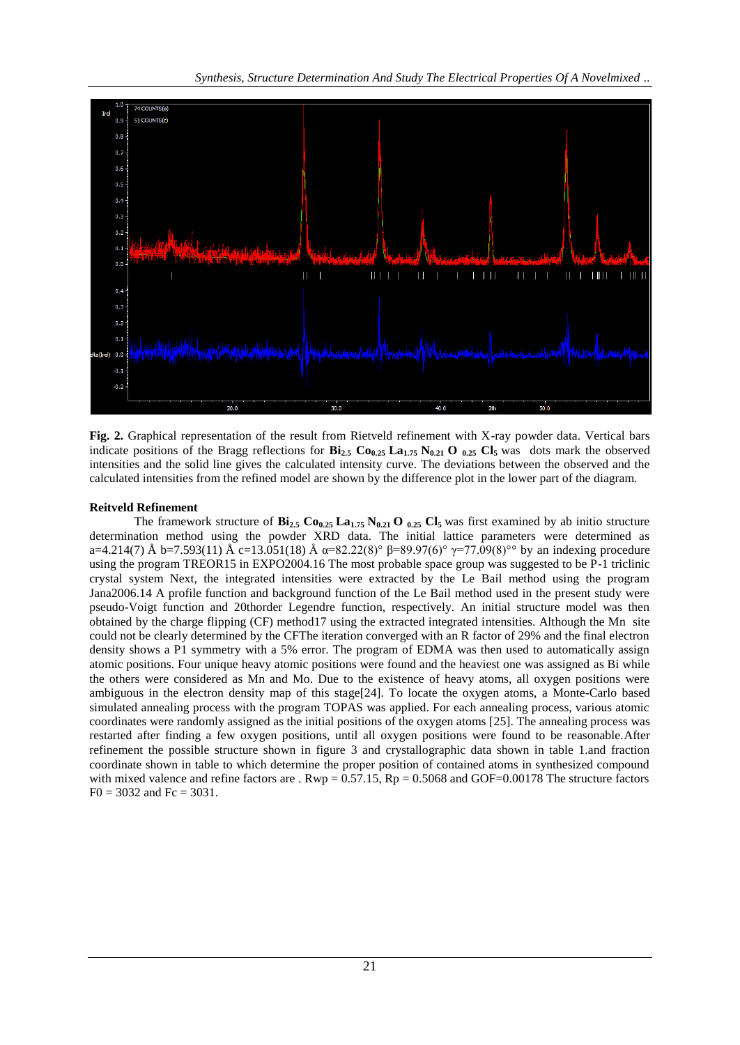

**Fig. 2.** Graphical representation of the result from Rietveld refinement with X-ray powder data. Vertical bars indicate positions of the Bragg reflections for  $\mathbf{Bi}_{2.5}$   $\mathbf{Co}_{0.25}$   $\mathbf{La}_{1.75}$   $\mathbf{N}_{0.21}$   $\mathbf{O}_{0.25}$   $\mathbf{Cl}_5$  was dots mark the observed intensities and the solid line gives the calculated intensity curve. The deviations between the observed and the calculated intensities from the refined model are shown by the difference plot in the lower part of the diagram.

#### **Reitveld Refinement**

The framework structure of  $\mathbf{Bi}_{2.5} \mathbf{Co}_{0.25} \mathbf{La}_{1.75} \mathbf{N}_{0.21} \mathbf{O}_{0.25} \mathbf{C} \mathbf{I}_5$  was first examined by ab initio structure determination method using the powder XRD data. The initial lattice parameters were determined as a=4.214(7) Å b=7.593(11) Å c=13.051(18) Å  $\alpha$ =82.22(8)°  $\beta$ =89.97(6)°  $\gamma$ =77.09(8)°° by an indexing procedure using the program TREOR15 in EXPO2004.16 The most probable space group was suggested to be P-1 triclinic crystal system Next, the integrated intensities were extracted by the Le Bail method using the program Jana2006.14 A profile function and background function of the Le Bail method used in the present study were pseudo-Voigt function and 20thorder Legendre function, respectively. An initial structure model was then obtained by the charge flipping (CF) method17 using the extracted integrated intensities. Although the Mn site could not be clearly determined by the CFThe iteration converged with an R factor of 29% and the final electron density shows a P1 symmetry with a 5% error. The program of EDMA was then used to automatically assign atomic positions. Four unique heavy atomic positions were found and the heaviest one was assigned as Bi while the others were considered as Mn and Mo. Due to the existence of heavy atoms, all oxygen positions were ambiguous in the electron density map of this stage[24]. To locate the oxygen atoms, a Monte-Carlo based simulated annealing process with the program TOPAS was applied. For each annealing process, various atomic coordinates were randomly assigned as the initial positions of the oxygen atoms [25]. The annealing process was restarted after finding a few oxygen positions, until all oxygen positions were found to be reasonable.After refinement the possible structure shown in figure 3 and crystallographic data shown in table 1.and fraction coordinate shown in table to which determine the proper position of contained atoms in synthesized compound with mixed valence and refine factors are .  $Rwp = 0.57.15$ ,  $Rp = 0.5068$  and GOF=0.00178 The structure factors  $F0 = 3032$  and  $Fc = 3031$ .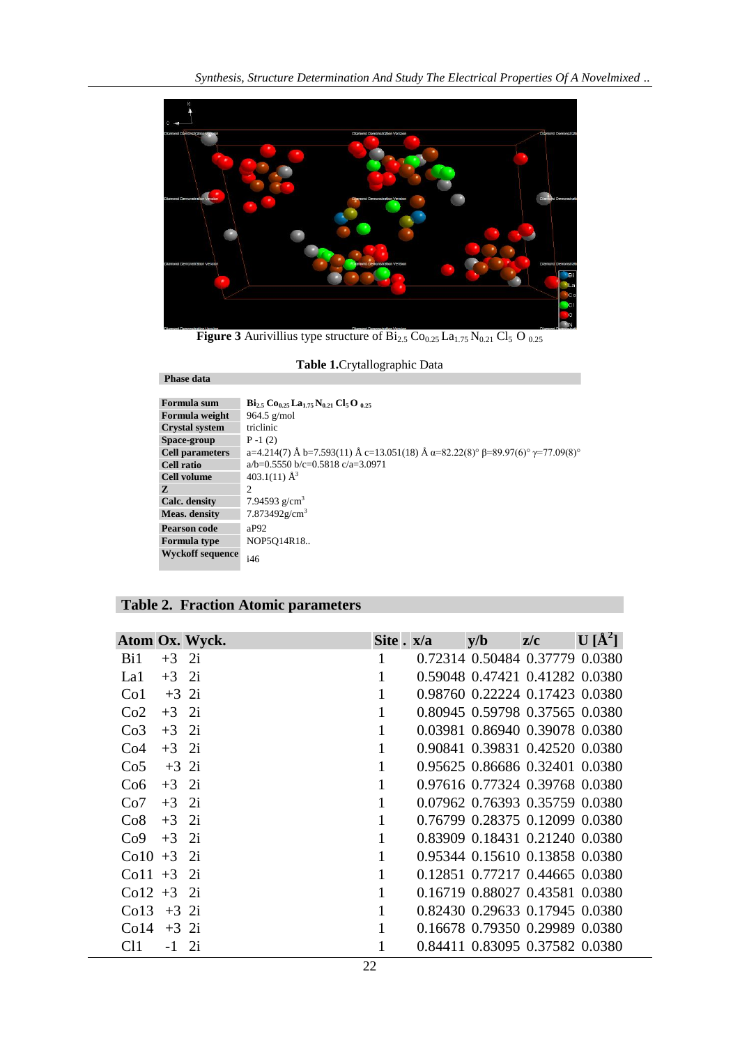

**Figure 3** Aurivillius type structure of  $\overline{Bi_{2.5}}$  Co<sub>0.25</sub> La<sub>1.75</sub> N<sub>0.21</sub> Cl<sub>5</sub> O<sub>0.25</sub>

**Table 1.**Crytallographic Data

| Formula sum             | $\rm{Bi}_{25}$ Co <sub>0.25</sub> La <sub>1.75</sub> N <sub>0.21</sub> Cl <sub>5</sub> O <sub>.025</sub> |
|-------------------------|----------------------------------------------------------------------------------------------------------|
| Formula weight          | 964.5 $g/mol$                                                                                            |
| <b>Crystal system</b>   | triclinic                                                                                                |
| Space-group             | $P - 1(2)$                                                                                               |
| <b>Cell parameters</b>  | a=4.214(7) Å b=7.593(11) Å c=13.051(18) Å $\alpha$ =82.22(8)° $\beta$ =89.97(6)° $\gamma$ =77.09(8)°     |
| Cell ratio              | $a/b=0.5550 b/c=0.5818 c/a=3.0971$                                                                       |
| <b>Cell volume</b>      | 403.1(11) $\AA^3$                                                                                        |
| Z                       | 2                                                                                                        |
| Calc. density           | 7.94593 $g/cm3$                                                                                          |
| <b>Meas.</b> density    | $7.873492$ g/cm <sup>3</sup>                                                                             |
| Pearson code            | aP92                                                                                                     |
| <b>Formula type</b>     | NOP5O14R18                                                                                               |
| <b>Wyckoff sequence</b> | i46                                                                                                      |

**Phase data**

| Atom Ox. Wyck.             | Site . x/a   | y/b | z/c                            | $\mathbf{U}$ [Å <sup>2</sup> ] |
|----------------------------|--------------|-----|--------------------------------|--------------------------------|
| Bi1<br>$+3$ 2i             |              |     | 0.72314 0.50484 0.37779 0.0380 |                                |
| $+3$ 2i<br>La1             | 1            |     | 0.59048 0.47421 0.41282 0.0380 |                                |
| $+3$ 2i<br>Co <sub>1</sub> | $\mathbf{1}$ |     | 0.98760 0.22224 0.17423 0.0380 |                                |
| $+3$ 2i<br>Co2             | $\mathbf{1}$ |     | 0.80945 0.59798 0.37565 0.0380 |                                |
| $+3$ 2i<br>Co <sub>3</sub> | $\mathbf{1}$ |     | 0.03981 0.86940 0.39078 0.0380 |                                |
| $+3$ 2i<br>Co <sub>4</sub> | $\mathbf{1}$ |     | 0.90841 0.39831 0.42520 0.0380 |                                |
| $+3$ 2i<br>Co <sub>5</sub> | 1            |     | 0.95625 0.86686 0.32401 0.0380 |                                |
| $+3$ 2i<br>Co6             | $\mathbf{1}$ |     | 0.97616 0.77324 0.39768 0.0380 |                                |
| $+3$ 2i<br>Co7             | $\mathbf{1}$ |     | 0.07962 0.76393 0.35759 0.0380 |                                |
| $+3$ 2i<br>Co8             | $\mathbf{1}$ |     | 0.76799 0.28375 0.12099 0.0380 |                                |
| $+3$<br>2i<br>Co9          | $\mathbf{1}$ |     | 0.83909 0.18431 0.21240 0.0380 |                                |
| 2i<br>$Co10 + 3$           | $\mathbf{1}$ |     | 0.95344 0.15610 0.13858 0.0380 |                                |
| 2i<br>$Co11 + 3$           | 1            |     | 0.12851 0.77217 0.44665 0.0380 |                                |
| $Co12 + 3$ 2i              | 1            |     | 0.16719 0.88027 0.43581 0.0380 |                                |
| Co13<br>$+3$ 2i            |              |     | 0.82430 0.29633 0.17945 0.0380 |                                |
| Co14<br>$+3$ 2i            |              |     | 0.16678 0.79350 0.29989 0.0380 |                                |
| 2i<br>CH.<br>$-1$          |              |     | 0.84411 0.83095 0.37582 0.0380 |                                |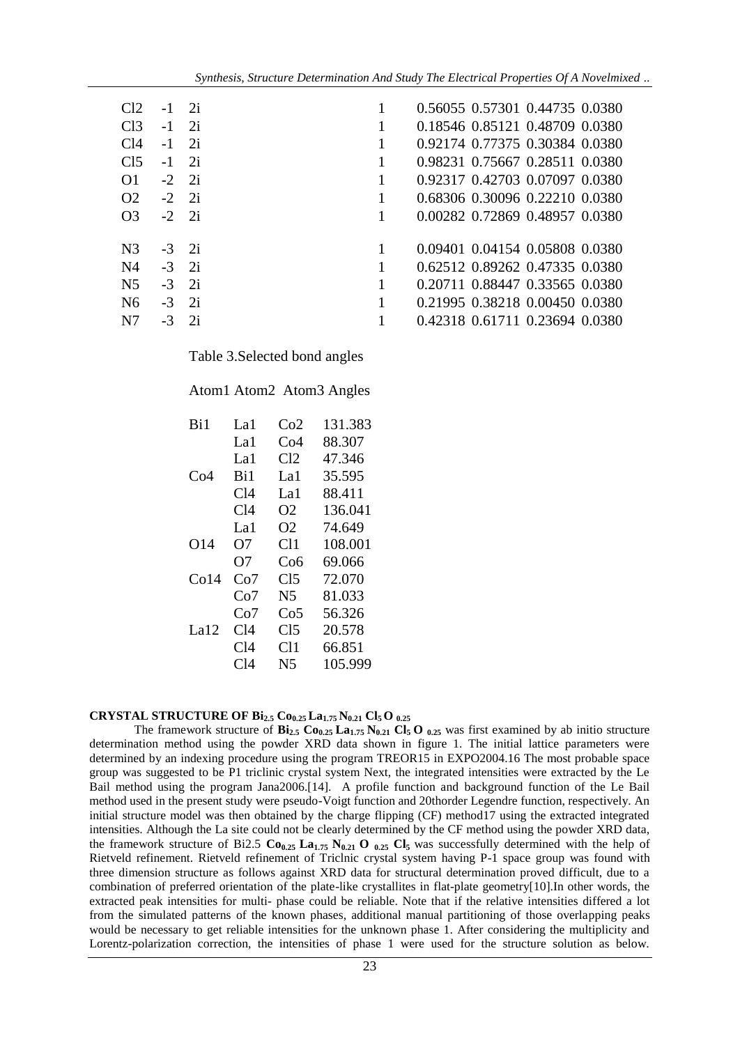| C12             |               | 2i |   | 0.56055 0.57301 0.44735 0.0380 |
|-----------------|---------------|----|---|--------------------------------|
| C <sub>13</sub> | $-1$          | 2i |   | 0.18546 0.85121 0.48709 0.0380 |
| C <sub>14</sub> | $-1$          | 2i |   | 0.92174 0.77375 0.30384 0.0380 |
| C <sub>15</sub> | $-1$          | 2i |   | 0.98231 0.75667 0.28511 0.0380 |
| $\Omega$        | $-2 \quad 2i$ |    |   | 0.92317 0.42703 0.07097 0.0380 |
| O <sub>2</sub>  | $-2 \quad 2i$ |    |   | 0.68306 0.30096 0.22210 0.0380 |
| O <sub>3</sub>  | $-2 \quad 2i$ |    | 1 | 0.00282 0.72869 0.48957 0.0380 |
| N <sub>3</sub>  | $-3$ 2i       |    |   | 0.09401 0.04154 0.05808 0.0380 |
|                 |               |    |   |                                |
| N <sub>4</sub>  | $-3$ 2i       |    |   | 0.62512 0.89262 0.47335 0.0380 |
| N <sub>5</sub>  | $-3$ 2i       |    |   | 0.20711 0.88447 0.33565 0.0380 |
| N <sub>6</sub>  | $-3$ 2i       |    | 1 | 0.21995 0.38218 0.00450 0.0380 |
| N7              | $-3$          | 2i |   | 0.42318 0.61711 0.23694 0.0380 |

Table 3.Selected bond angles

#### Atom1 Atom2 Atom3 Angles

| Bi1  | La 1 | Co2             | 131.383 |
|------|------|-----------------|---------|
|      | La 1 | Co4             | 88.307  |
|      | La1  | Cl <sub>2</sub> | 47.346  |
| Co4  | Ri1  | La 1            | 35.595  |
|      | C14  | La1             | 88.411  |
|      | C14  | O2              | 136.041 |
|      | La1  | O2              | 74.649  |
| O14  | O7   | C11             | 108.001 |
|      | O7   | Co6             | 69.066  |
| Co14 | Co7  | Cl <sub>5</sub> | 72.070  |
|      | Co7  | N5              | 81.033  |
|      | Co7  | Co5             | 56.326  |
| La12 | C14  | C15             | 20.578  |
|      | C14  | C11             | 66.851  |
|      | C14  | N5              | 105.999 |
|      |      |                 |         |

## **CRYSTAL STRUCTURE OF Bi2.5 Co0.25 La1.75 N0.21 Cl<sup>5</sup> O 0.25**

The framework structure of  $\mathbf{Bi}_{2.5}$   $\mathbf{Co}_{0.25}$   $\mathbf{La}_{1.75}$   $\mathbf{N}_{0.21}$   $\mathbf{Cl}_5$   $\mathbf{O}_{0.25}$  was first examined by ab initio structure determination method using the powder XRD data shown in figure 1. The initial lattice parameters were determined by an indexing procedure using the program TREOR15 in EXPO2004.16 The most probable space group was suggested to be P1 triclinic crystal system Next, the integrated intensities were extracted by the Le Bail method using the program Jana2006.[14]. A profile function and background function of the Le Bail method used in the present study were pseudo-Voigt function and 20thorder Legendre function, respectively. An initial structure model was then obtained by the charge flipping (CF) method17 using the extracted integrated intensities. Although the La site could not be clearly determined by the CF method using the powder XRD data, the framework structure of Bi2.5 **Co0.25 La1.75 N0.21 O 0.25 Cl5** was successfully determined with the help of Rietveld refinement. Rietveld refinement of Triclnic crystal system having P-1 space group was found with three dimension structure as follows against XRD data for structural determination proved difficult, due to a combination of preferred orientation of the plate-like crystallites in flat-plate geometry[10].In other words, the extracted peak intensities for multi- phase could be reliable. Note that if the relative intensities differed a lot from the simulated patterns of the known phases, additional manual partitioning of those overlapping peaks would be necessary to get reliable intensities for the unknown phase 1. After considering the multiplicity and Lorentz-polarization correction, the intensities of phase 1 were used for the structure solution as below.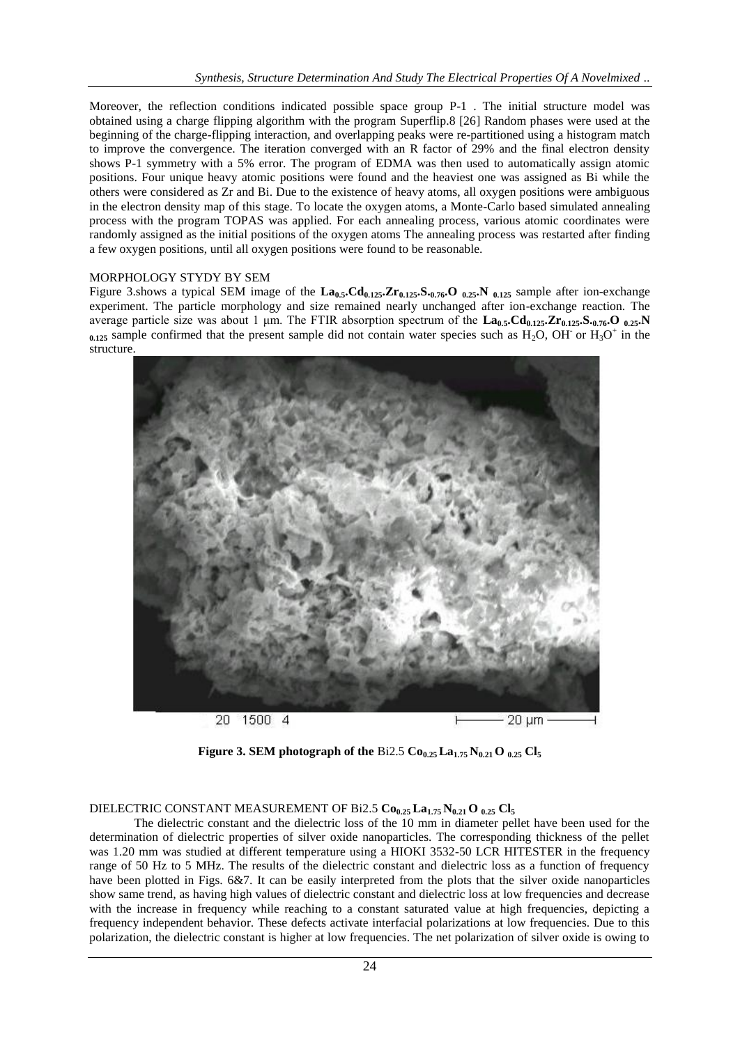Moreover, the reflection conditions indicated possible space group P-1 . The initial structure model was obtained using a charge flipping algorithm with the program Superflip.8 [26] Random phases were used at the beginning of the charge-flipping interaction, and overlapping peaks were re-partitioned using a histogram match to improve the convergence. The iteration converged with an R factor of 29% and the final electron density shows P-1 symmetry with a 5% error. The program of EDMA was then used to automatically assign atomic positions. Four unique heavy atomic positions were found and the heaviest one was assigned as Bi while the others were considered as Zr and Bi. Due to the existence of heavy atoms, all oxygen positions were ambiguous in the electron density map of this stage. To locate the oxygen atoms, a Monte-Carlo based simulated annealing process with the program TOPAS was applied. For each annealing process, various atomic coordinates were randomly assigned as the initial positions of the oxygen atoms The annealing process was restarted after finding a few oxygen positions, until all oxygen positions were found to be reasonable.

### MORPHOLOGY STYDY BY SEM

Figure 3.shows a typical SEM image of the **La0.5.Cd0.125.Zr0.125.S.0.76.O 0.25.N 0.125** sample after ion-exchange experiment. The particle morphology and size remained nearly unchanged after ion-exchange reaction. The average particle size was about 1 μm. The FTIR absorption spectrum of the **La0.5.Cd0.125.Zr0.125.S.0.76.O 0.25.N**   $_{0.125}$  sample confirmed that the present sample did not contain water species such as  $H_2O$ , OH or  $H_3O^+$  in the structure.



**Figure 3. SEM photograph of the Bi2.5**  $Co_{0.25}$  $La_{1.75}$  $N_{0.21}$  $O_{0.25}$  $Cl_5$ 

## DIELECTRIC CONSTANT MEASUREMENT OF Bi2.5 **Co0.25 La1.75 N0.21 O 0.25 Cl<sup>5</sup>**

The dielectric constant and the dielectric loss of the 10 mm in diameter pellet have been used for the determination of dielectric properties of silver oxide nanoparticles. The corresponding thickness of the pellet was 1.20 mm was studied at different temperature using a HIOKI 3532-50 LCR HITESTER in the frequency range of 50 Hz to 5 MHz. The results of the dielectric constant and dielectric loss as a function of frequency have been plotted in Figs. 6&7. It can be easily interpreted from the plots that the silver oxide nanoparticles show same trend, as having high values of dielectric constant and dielectric loss at low frequencies and decrease with the increase in frequency while reaching to a constant saturated value at high frequencies, depicting a frequency independent behavior. These defects activate interfacial polarizations at low frequencies. Due to this polarization, the dielectric constant is higher at low frequencies. The net polarization of silver oxide is owing to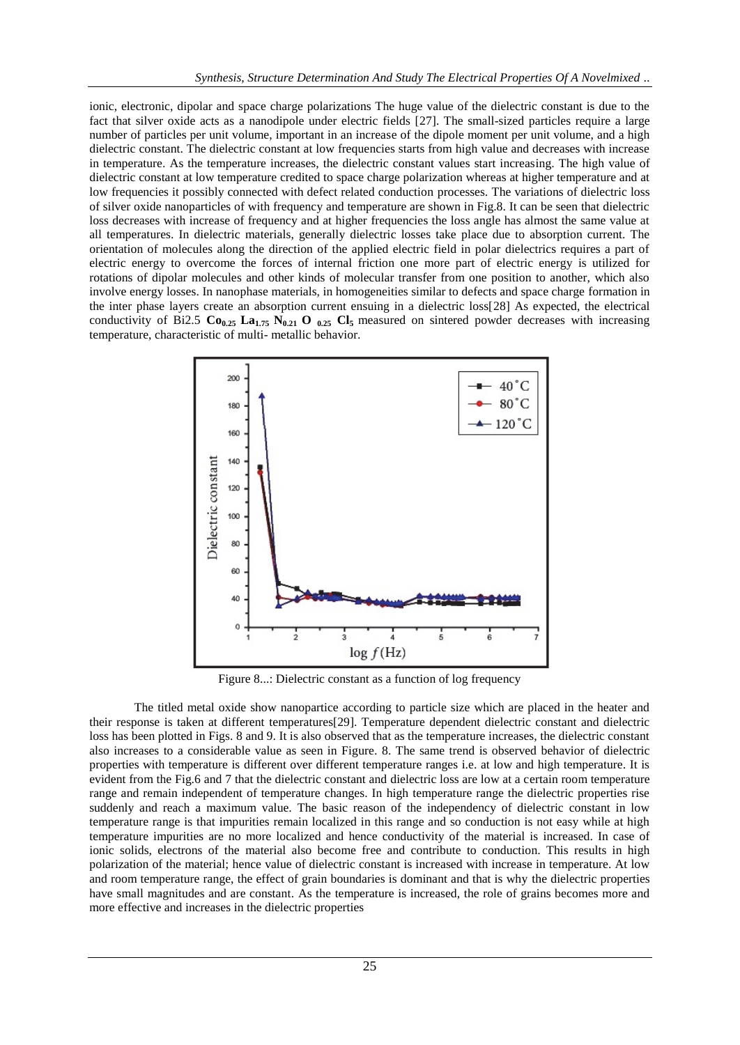ionic, electronic, dipolar and space charge polarizations The huge value of the dielectric constant is due to the fact that silver oxide acts as a nanodipole under electric fields [27]. The small-sized particles require a large number of particles per unit volume, important in an increase of the dipole moment per unit volume, and a high dielectric constant. The dielectric constant at low frequencies starts from high value and decreases with increase in temperature. As the temperature increases, the dielectric constant values start increasing. The high value of dielectric constant at low temperature credited to space charge polarization whereas at higher temperature and at low frequencies it possibly connected with defect related conduction processes. The variations of dielectric loss of silver oxide nanoparticles of with frequency and temperature are shown in Fig.8. It can be seen that dielectric loss decreases with increase of frequency and at higher frequencies the loss angle has almost the same value at all temperatures. In dielectric materials, generally dielectric losses take place due to absorption current. The orientation of molecules along the direction of the applied electric field in polar dielectrics requires a part of electric energy to overcome the forces of internal friction one more part of electric energy is utilized for rotations of dipolar molecules and other kinds of molecular transfer from one position to another, which also involve energy losses. In nanophase materials, in homogeneities similar to defects and space charge formation in the inter phase layers create an absorption current ensuing in a dielectric loss[28] As expected, the electrical conductivity of Bi2.5  $\text{Co}_{0.25}$   $\text{La}_{1.75}$   $\text{N}_{0.21}$  **O**  $_{0.25}$   $\text{Cl}_5$  measured on sintered powder decreases with increasing temperature, characteristic of multi- metallic behavior.



Figure 8...: Dielectric constant as a function of log frequency

The titled metal oxide show nanopartice according to particle size which are placed in the heater and their response is taken at different temperatures[29]. Temperature dependent dielectric constant and dielectric loss has been plotted in Figs. 8 and 9. It is also observed that as the temperature increases, the dielectric constant also increases to a considerable value as seen in Figure. 8. The same trend is observed behavior of dielectric properties with temperature is different over different temperature ranges i.e. at low and high temperature. It is evident from the Fig.6 and 7 that the dielectric constant and dielectric loss are low at a certain room temperature range and remain independent of temperature changes. In high temperature range the dielectric properties rise suddenly and reach a maximum value. The basic reason of the independency of dielectric constant in low temperature range is that impurities remain localized in this range and so conduction is not easy while at high temperature impurities are no more localized and hence conductivity of the material is increased. In case of ionic solids, electrons of the material also become free and contribute to conduction. This results in high polarization of the material; hence value of dielectric constant is increased with increase in temperature. At low and room temperature range, the effect of grain boundaries is dominant and that is why the dielectric properties have small magnitudes and are constant. As the temperature is increased, the role of grains becomes more and more effective and increases in the dielectric properties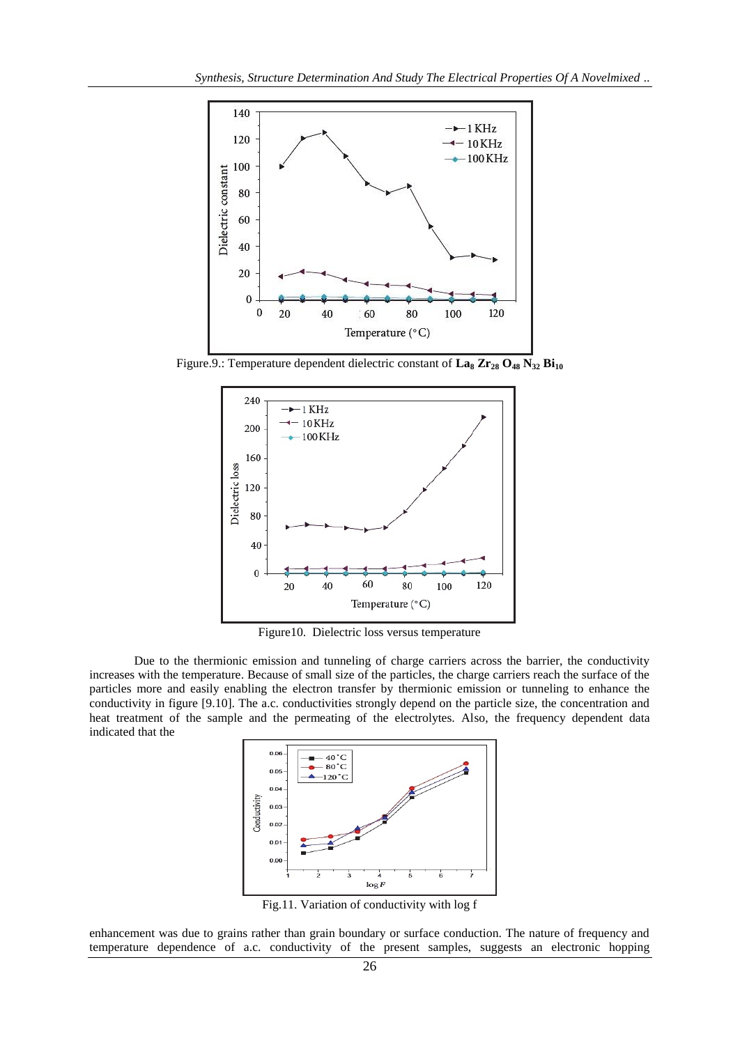

Figure.9.: Temperature dependent dielectric constant of  $\text{La}_8 \text{Zr}_{28} \text{O}_{48} \text{N}_{32} \text{Bi}_{10}$ 



Figure10. Dielectric loss versus temperature

Due to the thermionic emission and tunneling of charge carriers across the barrier, the conductivity increases with the temperature. Because of small size of the particles, the charge carriers reach the surface of the particles more and easily enabling the electron transfer by thermionic emission or tunneling to enhance the conductivity in figure [9.10]. The a.c. conductivities strongly depend on the particle size, the concentration and heat treatment of the sample and the permeating of the electrolytes. Also, the frequency dependent data indicated that the



Fig.11. Variation of conductivity with log f

enhancement was due to grains rather than grain boundary or surface conduction. The nature of frequency and temperature dependence of a.c. conductivity of the present samples, suggests an electronic hopping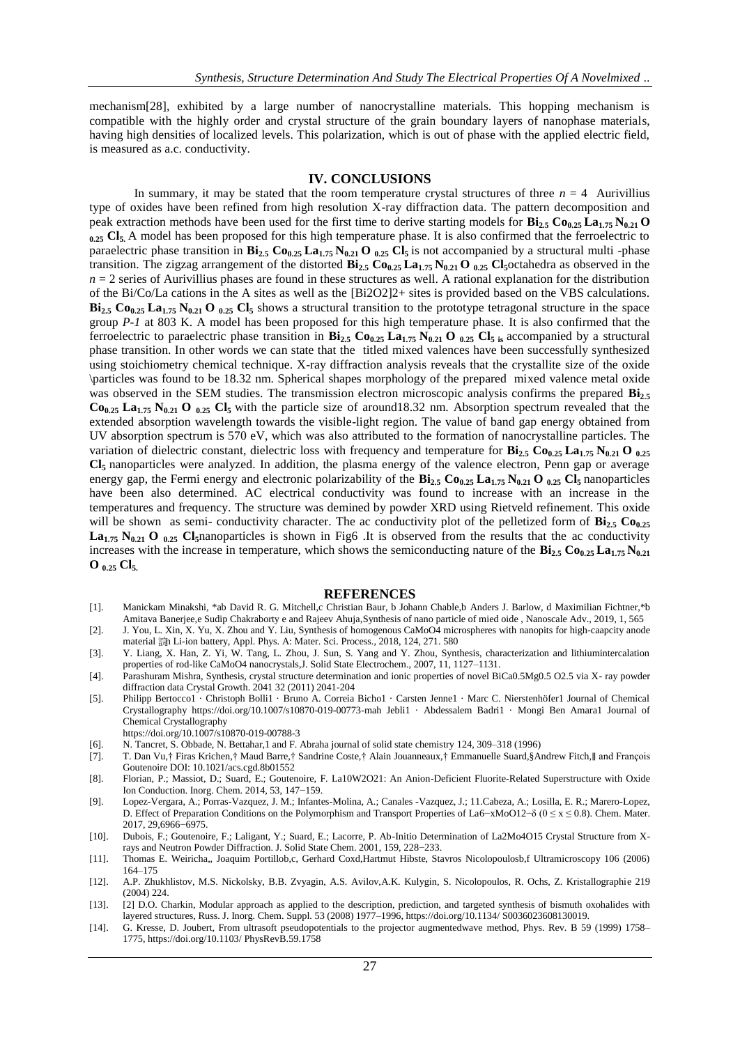mechanism[28], exhibited by a large number of nanocrystalline materials. This hopping mechanism is compatible with the highly order and crystal structure of the grain boundary layers of nanophase materials, having high densities of localized levels. This polarization, which is out of phase with the applied electric field, is measured as a.c. conductivity.

#### **IV. CONCLUSIONS**

In summary, it may be stated that the room temperature crystal structures of three  $n = 4$  Aurivillius type of oxides have been refined from high resolution X-ray diffraction data. The pattern decomposition and peak extraction methods have been used for the first time to derive starting models for **Bi2.5 Co0.25 La1.75 N0.21 O 0.25 Cl5.** A model has been proposed for this high temperature phase. It is also confirmed that the ferroelectric to paraelectric phase transition in **Bi2.5 Co0.25 La1.75 N0.21 O 0.25 Cl5** is not accompanied by a structural multi -phase transition. The zigzag arrangement of the distorted **Bi2.5 Co0.25 La1.75 N0.21 O 0.25 Cl5**octahedra as observed in the  $n = 2$  series of Aurivillius phases are found in these structures as well. A rational explanation for the distribution of the Bi/Co/La cations in the A sites as well as the [Bi2O2]2+ sites is provided based on the VBS calculations.  $\mathbf{Bi}_{2.5}$   $\mathbf{Co}_{0.25}$   $\mathbf{La}_{1.75}$   $\mathbf{N}_{0.21}$   $\mathbf{O}_{0.25}$   $\mathbf{Cl}_5$  shows a structural transition to the prototype tetragonal structure in the space group *P-1* at 803 K. A model has been proposed for this high temperature phase. It is also confirmed that the ferroelectric to paraelectric phase transition in  $\mathbf{Bi}_{2.5}$   $\mathbf{Co}_{0.25}$   $\mathbf{La}_{1.75}$   $\mathbf{N}_{0.21}$   $\mathbf{O}_{0.25}$   $\mathbf{Cl}_{5.5}$  accompanied by a structural phase transition. In other words we can state that the titled mixed valences have been successfully synthesized using stoichiometry chemical technique. X-ray diffraction analysis reveals that the crystallite size of the oxide \particles was found to be 18.32 nm. Spherical shapes morphology of the prepared mixed valence metal oxide was observed in the SEM studies. The transmission electron microscopic analysis confirms the prepared  $\mathbf{Bi}_2$ . **Co0.25 La1.75 N0.21 O 0.25 Cl5** with the particle size of around18.32 nm. Absorption spectrum revealed that the extended absorption wavelength towards the visible-light region. The value of band gap energy obtained from UV absorption spectrum is 570 eV, which was also attributed to the formation of nanocrystalline particles. The variation of dielectric constant, dielectric loss with frequency and temperature for  $\mathbf{Bi}_{2.5}$   $\mathbf{Co}_{0.25}$   $\mathbf{La}_{1.75}$   $\mathbf{N}_{0.21}$   $\mathbf{O}_{0.25}$ **Cl<sup>5</sup>** nanoparticles were analyzed. In addition, the plasma energy of the valence electron, Penn gap or average energy gap, the Fermi energy and electronic polarizability of the  $\mathbf{Bi}_{2.5}$   $\mathbf{Co}_{0.25}$   $\mathbf{La}_{1.75}$   $\mathbf{N}_{0.21}$   $\mathbf{O}_{0.25}$   $\mathbf{Cl}_5$  nanoparticles have been also determined. AC electrical conductivity was found to increase with an increase in the temperatures and frequency. The structure was demined by powder XRD using Rietveld refinement. This oxide will be shown as semi- conductivity character. The ac conductivity plot of the pelletized form of  $\mathbf{Bi}_{2.5}$   $\mathbf{Co}_{0.25}$  $\textbf{L}\textbf{a}_{1.75}$   $\textbf{N}_{0.21}$  **O**  $_{0.25}$  Cl<sub>5</sub>nanoparticles is shown in Fig6 .It is observed from the results that the ac conductivity increases with the increase in temperature, which shows the semiconducting nature of the  $\mathbf{Bi}_{2.5} \mathbf{Co}_{0.25} \mathbf{La}_{1.75} \mathbf{N}_{0.21}$ **O 0.25 Cl5.**

#### **REFERENCES**

- [1]. Manickam Minakshi, \*ab David R. G. Mitchell,c Christian Baur, b Johann Chable,b Anders J. Barlow, d Maximilian Fichtner,\*b Amitava Banerjee,e Sudip Chakraborty e and Rajeev Ahuja, Synthesis of nano particle of mied oide, Nanoscale Adv., 2019, 1, 565
- [2]. J. You, L. Xin, X. Yu, X. Zhou and Y. Liu, Synthesis of homogenous CaMoO4 microspheres with nanopits for high-caapcity anode material 諦 Li-ion battery, Appl. Phys. A: Mater. Sci. Process., 2018, 124, 271. 580
- [3]. Y. Liang, X. Han, Z. Yi, W. Tang, L. Zhou, J. Sun, S. Yang and Y. Zhou, Synthesis, characterization and lithiumintercalation properties of rod-like CaMoO4 nanocrystals,J. Solid State Electrochem., 2007, 11, 1127–1131.
- [4]. Parashuram Mishra, Synthesis, crystal structure determination and ionic properties of novel BiCa0.5Mg0.5 O2.5 via X- ray powder diffraction data Crystal Growth. 2041 32 (2011) 2041-204
- [5]. Philipp Bertocco1 · Christoph Bolli1 · Bruno A. Correia Bicho1 · Carsten Jenne1 · Marc C. Nierstenhöfer1 Journal of Chemical Crystallography https://doi.org/10.1007/s10870-019-00773-mah Jebli1 · Abdessalem Badri1 · Mongi Ben Amara1 Journal of Chemical Crystallography
	- <https://doi.org/10.1007/s10870-019-00788-3>
- [6]. N. Tancret, S. Obbade, N. Bettahar,1 and F. Abraha journal of solid state chemistry 124, 309–318 (1996)
- [7]. T. Dan Vu,† Firas Krichen,† Maud Barre,† Sandrine Coste,† Alain Jouanneaux,† Emmanuelle Suard,§Andrew Fitch,∥ and François Goutenoire DOI: 10.1021/acs.cgd.8b01552
- [8]. Florian, P.; Massiot, D.; Suard, E.; Goutenoire, F. La10W2O21: An Anion-Deficient Fluorite-Related Superstructure with Oxide Ion Conduction. Inorg. Chem. 2014, 53, 147−159.
- [9]. Lopez-Vergara, A.; Porras-Vazquez, J. M.; Infantes-Molina, A.; Canales -Vazquez, J.; 11.Cabeza, A.; Losilla, E. R.; Marero-Lopez, D. Effect of Preparation Conditions on the Polymorphism and Transport Properties of La6−xMoO12−δ (0 ≤ x ≤ 0.8). Chem. Mater. 2017, 29,6966−6975.
- [10]. Dubois, F.; Goutenoire, F.; Laligant, Y.; Suard, E.; Lacorre, P. Ab-Initio Determination of La2Mo4O15 Crystal Structure from Xrays and Neutron Powder Diffraction. J. Solid State Chem. 2001, 159, 228−233.
- [11]. Thomas E. Weiricha,, Joaquim Portillob,c, Gerhard Coxd,Hartmut Hibste, Stavros Nicolopoulosb,f Ultramicroscopy 106 (2006) 164–175
- [12]. A.P. Zhukhlistov, M.S. Nickolsky, B.B. Zvyagin, A.S. Avilov,A.K. Kulygin, S. Nicolopoulos, R. Ochs, Z. Kristallographie 219 (2004) 224.
- [13]. [2] D.O. Charkin, Modular approach as applied to the description, prediction, and targeted synthesis of bismuth oxohalides with layered structures, Russ. J. Inorg. Chem. Suppl. 53 (2008) 1977–1996[, https://doi.org/10.1134/](https://doi.org/10.1134/) S0036023608130019.
- [14]. G. Kresse, D. Joubert, From ultrasoft pseudopotentials to the projector augmentedwave method, Phys. Rev. B 59 (1999) 1758– 1775[, https://doi.org/10.1103/](https://doi.org/10.1103/) PhysRevB.59.1758